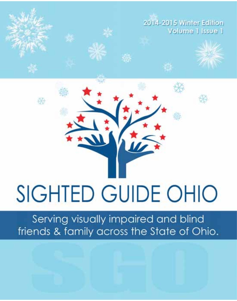

# **SIGHTED GUIDE OHIO**

Serving visually impaired and blind friends & family across the State of Ohio.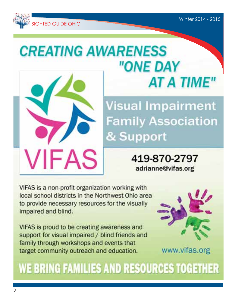

# **CREATING AWARENESS** "ONE DAY **AT A TIME"**

**Visual Impairment Family Association** & Support

> 419-870-2797 adrianne@vifas.org

VIFAS is a non-profit organization working with local school districts in the Northwest Ohio area to provide necessary resources for the visually impaired and blind.

**VIFAS** 

VIFAS is proud to be creating awareness and support for visual impaired / blind friends and family through workshops and events that target community outreach and education.



www.vifas.org

# WE BRING FAMILIES AND RESOURCES TOGETHER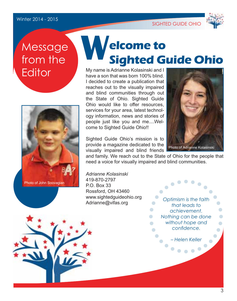#### Winter 2014 - 2015

SIGHTED GUIDE OHIO



## **Message** from the **Editor**



## **elcome to Sighted Guide Ohio W**

My name is Adrianne Kolasinski and I have a son that was born 100% blind. I decided to create a publication that reaches out to the visually impaired and blind communities through out the State of Ohio. Sighted Guide Ohio would like to offer resources. services for your area, latest technology information, news and stories of people just like you and me....Welcome to Sighted Guide Ohio!!

Sighted Guide Ohio's mission is to provide a magazine dedicated to the visually impaired and blind friends



and family. We reach out to the State of Ohio for the people that need a voice for visually impaired and blind communities.

*Adrianne Kolasinski* 419-870-2797 P.O. Box 33 Rossford, OH 43460 www.sightedguideohio.org Adrianne@vifas.org

*Optimism is the faith that leads to*   $\bullet$ *achievement. Nothing can be done*   $\bullet$ *without hope and*   $\bullet$ *confidence.*

*– Helen Keller*

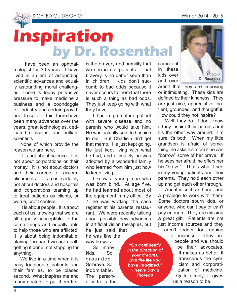



# **Inspiration by Dr. Rosenthal**

I have been an ophthalmologist for 30 years. I have lived in an era of astounding scientific advances and equally astounding moral challenges. There is today pervasive pressure to make medicine a business and a boondoggle for industry and certain providers. In spite of this, there have been many advances over the years, great technologies, dedicated clinicians, and brilliant scientists.

None of which provide the reason we are here.

It is not about science. It is not about corporations or their money. It is not about doctors and their careers or accomplishments. It is most certainly not about doctors and hospitals and corporations teaming up to treat patients as clients, or worse, profit centers.

It is about people. It is about each of us knowing that we are all equally susceptible to the same things and equally able to help those who are afflicted. It is about being indomitable, playing the hand we are dealt, getting it done, not stopping for anything.

We live in a time when it is easy for people, patients and their families, to be placed second. What inspires me and many doctors to put them first is the bravery and humility that we see in our patients. That bravery is no better seen than in children. Kids don't succumb to bad odds because it never occurs to them that there is such a thing as bad odds. They just keep going with what they have.

I had a premature patient with severe disease and no parents who would take him. He was actually sent to hospice to die. But Charlie didn't get that memo. He just kept going. He just kept living with what he had, and ultimately he was adopted by a wonderful family who learned from him just how to keep living.

I know a young man who was born blind. At age five, he had learned about most of the equipment in my office. By 7, he was working the cash register at his parents' restaurant. We were recently talking about possible new advances in artificial vision therapies, but he just said that

he was fine the way he was.

So many kids. So grounded. So brave. So indomitable. The personality traits that

"Go confidently in the direction of vour dreams. Live the life you have imagined." ~ Henry David **Thoreau** 

come out in these kids over and over



aren't that they are imposing or intimidating. These kids are defined by their kindness. They are just nice, appreciative, patient, grounded, and thoughtful. How could they not inspire?

Well, they do. I don't know if they inspire their parents or if it's the other way around. I'm sure it's both. When my little grandson is afraid of something, he asks his mom if he can "borrow" some of her brave. If he sees her afraid, he offers her his "brave". That's what I see in my young patients and their parents. They hold each other up and get each other through.

And it is such an honor and a privilege to work with them. Some doctors spurn kids, or anyone, who can't pay or can't pay enough. They are missing a great gift. Patients are not just income sources and they aren't fodder for running

a business. They are people and we should be their advocates. It makes us better. It transcends the cynicism and corporatization of medicine. Quite simply, it gives us a reason to be.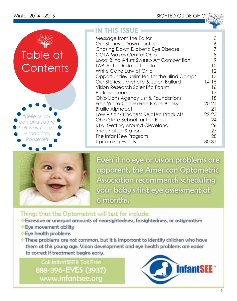





Even if no eye or vision problems are apparent, the American Optometric Association recommends scheduling your baby's first eye assessment at 6 months.

### Things that the Optometrist will test for include:

- Excessive or unequal amounts of nearsightedness, farsightedness, or astigmatism
- Eve movement ability
- Eye health problems
- These problems are not common, but it is important to identify children who have them at this young age. Vision development and eye health problems are easier to correct if treatment begins early.

**Call InfantSEE® Toll Free** 888-396-EYES (3937) www.infantsee.org

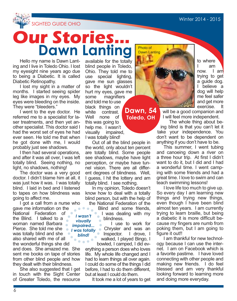to where<br>I am I am now. I am trying to get a guide dog. I believe a dog will help me feel safer and get more exercise. It



## **Our Stories... Dawn Lanting**

Hello my name is Dawn Lanting and I live in Toledo Ohio. I lost my eyesight nine years ago due to being a Diabetic. It is called Diabetic Retinopathy.

I lost my sight in a matter of months. I started seeing spider leg like images in my eyes. My eyes were bleeding on the inside. They were "bleeders."

I went to the eye doctor. He referred me to a specialist for laser treatments, and then yet another specialist. This doctor said I had the worst set of eyes he had ever seen. He told me that when he got done with me, I would probably just see shadows.

I then had several operations, and after it was all over, I was left totally blind. Seeing nothing, no light, no shadows, nothing!

The doctor was a very good doctor. I didn't blame him at all, it was just how it was. I was totally blind. I laid in bed and I listened to tapes on how blindness was going to affect me.

I got a call from a nurse who gave me information on the . . . . . National Federation of *I wasn't*  the Blind. I talked to a *visually*  woman named Barbara  $\blacksquare$ *impaired...* Pierce. She told me she *I was totally*  was totally blind and she *blind!* also shared with me of all the wonderful things she did and does. She amazed me. She

sent me books on tape of stories from other blind people and how they dealt with their blindness.

She also suggested that I get in touch with the Sight Center of Greater Toledo, the resource

available for the totally blind people in Toledo, Ohio. They told me to<br>use special lighting. special lighting. gave me sun glasses so the light wouldn't hurt my eyes, gave me some magnifiers and told me to use black things on white contrast. Well none of this was going to help me. I wasn't visually impaired, I was totally blind!

Out of all the blind people in the world, only about ten percent are totally blind. Some people see shadows, maybe have light perception, or maybe have tunnel vision. There are all different degrees of blindness. Well, I guess, I hit the lottery and am totally blind. I see nothing.

In my opinion, Toledo doesn't know how to deal with a totally blind person, but with the help of

the National Federation of the Blind and some friends, I was dealing with my **blindness**.

I use to work for Chrysler and was an **Inspector.** I drove, I walked, I played Bingo, I bowled, I camped, I did ev-

erything a person does who loves life. My whole life changed and I had to learn things all over again. I could do some of the things I did before, I had to do them different, but at least I could do them.

It took me a lot of years to get



**Dawn, 54 Toledo, OH**

will be a good companion and I will feel more independent.

The whole thing about being blind is that you can't let it take your independence. You don't want to be dependent on anything if you don't have to be.

This summer, I went tubing and canoeing down a river on a three hour trip. At first I didn't want to do it, but I did and I had a wonderful time. I went camping with some friends and had a great time. I love to swim and can teach swimming lessons!

I love life too much to give up. So every day I am learning new things and trying new things, even though I have been blind almost ten years. I am currently trying to learn braille, but being a diabetic it is more difficult because my fingers are numb from poking them, but I am going to figure it out!!

I am thankful for new technology because I can use the internet. I am on Facebook which is a favorite pastime. I have loved connecting with other people and making new friends. I do feel blessed and am very thankful looking forward to learning more and doing more everyday.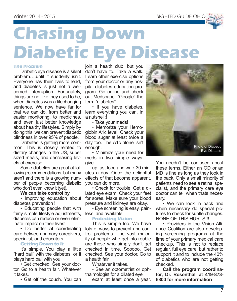

# **Chasing Down Diabetic Eye Disease**

#### **The Problem**

Diabetic eye disease is a silent problem….until it suddenly isn't. Everyone has their lives to lead, and diabetes is just not a welcomed interruption. Fortunately, things are not like they used to be, when diabetes was a lifechanging sentence. We now have far for that we can do, from better and easier monitoring, to medicines, and even just better knowledge about healthy lifestyles. Simply by doing this, we can prevent diabetic blindness in over 95% of people.

Diabetes is getting more common. This is closely related to dietary changes in the US, super sized meals, and decreasing levels of exercise.

Some diabetics are great at following recommendations, but many aren't and there is a growing number of people becoming diabetic who don't even know it (yet).

#### **We can take control by**

• Improving education about diabetes prevention !

• Educating people that with fairly simple lifestyle adjustments. diabetes can reduce or even eliminate impact on their lives!

• Do better at coordinating care between primary caregivers, specialist, and educators.

#### **Getting Down to It**

It's simple. You play a little "hard ball" with the diabetes, or it plays hard ball with you.

• Get checked. See your doctor. Go to a health fair. Whatever it takes.

• Get off the couch. You can

join a health club, but you don't have to. Take a walk. Learn other exercise options from your doctor or any hospital diabetes education program. Go online and check out Medscape. "Google" the term "diabetes"

• If you have diabetes, learn everything you can. In a nutshell:<sup>1</sup>

• Take your meds!

• Memorize your Hemoglobin A1c level. Check your blood sugar at least twice a day too. The A1c alone isn't enough.

• Minimize your need for meds in two simple ways: give

up fast food and walk 30 minutes a day. Once the delightful effects of that become apparent, you can do more.

• Check for trouble. Get a dilated eye exam. Check your feet for sores. Make sure your blood pressure and kidneys are okay.

• Eye screening is easy, painless, and available.

#### **Protecting Vision**

This is simple too. We have lots of ways to prevent and control problems. The vast majority of people who get into rouble are those who simply don't get checked in time. Sooooo, Get checked. See your doctor. Go to a health fair.

Whatever it takes.

• See an optometrist or ophthalmologist for a dilated eye

exam at least once a year.



You needn't be confused about these terms. Either an OD or an MD is fine as long as they look in the back. Only a small minority of patients need to see a retinal specialist, and the primary care eye doctor can tell when thats necessary.

• We can look in back and when necessary do special pictures to check for subtle changes. NONE OF THIS HURTS!!!

• Providers in the Vision Alliance Coalition are also developing screening programs at the time of your primary medical care checkup. This is not to replace regular, full eye care, but rather to support it and to include the 40% of diabetics who are not getting checked.

**Call the program coordinator, Dr. Rosenthal, at 419-873- 6800 for more information**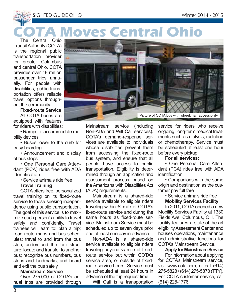SIGHTED GUIDE OHIO Winter 2014 - 2015

## The Central Ohio **A Moves Central Ohio**

Transit Authority (COTA) is the regional public transportation provider for greater Columbus and central Ohio. COTA provides over 18 million passenger trips annually. For people with disabilities, public transportation offers reliable travel options throughout the community.

#### **Fixed-route Service**

All COTA buses are equipped with features for riders with disabilities:

• Ramps to accommodate mobility devices

• Buses lower to the curb for easy boarding

• Announcement and display of bus stops

• One Personal Care Attendant (PCA) rides free with ADA identification

• Service animals ride free

#### **Travel Training**

COTA offers free, personalized travel training on its fixed-route service to those seeking independence using public transportation. The goal of this service is to maximize each person's ability to travel safely and confidently. Travel trainees will learn to: plan a trip; read route maps and bus schedules; travel to and from the bus stop; understand the fare structure; locate and transfer to another bus; recognize bus numbers, bus stops and landmarks; and board and exit the bus safely.

#### **Mainstream Service**

Over 275,000 of COTA's annual trips are provided through



Mainstream service (including Non-ADA and Will Call services). COTA's demand-response services are available to individuals whose disabilities prevent them from accessing the fixed-route bus system, and ensure that all people have access to public transportation. Eligibility is determined through an application and assessment process based on the Americans with Disabilities Act (ADA) requirements.

Mainstream is a shared-ride service available to eligible riders traveling within ¾ mile of COTA's fixed-route service and during the same hours as fixed-route service. Mainstream Service must be scheduled up to seven days prior and at least one day in advance.

Non-ADA is a shared-ride service available to eligible riders traveling beyond ¾ mile of fixedroute service but within COTA's service area, or outside of fixedroute service hours. Service must be scheduled at least 24 hours in advance of the trip request time.

Will Call is a transportation

service for riders who receive ongoing, long-term medical treatments such as dialysis, radiation or chemotherapy. Service must be scheduled at least one hour before every pickup.

#### **For all services:**

• One Personal Care Attendant (PCA) rides free with ADA identification

• Companions with the same origin and destination as the customer pay full fare

• Service animals ride free

#### **Mobility Services Facility**

In 2011, COTA opened a new Mobility Services Facility at 1330 Fields Ave, Columbus, OH. The facility features a state-of-the-art eligibility Assessment Center and houses operations, maintenance and administrative functions for COTA's Mainstream Service.

#### **Apply for Mainstream Service**

For information about applying for COTA's Mainstream service, visit www.cota.com, or call (614) 275-5828 / (614) 275-5878 (TTY). For COTA customer service, call (614) 228-1776.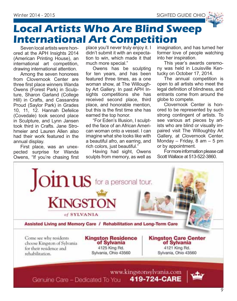

## **Local Artists Who Are Blind Sweep International Art Competition**

Seven local artists were honored at the APH Insights 2014 (American Printing House), an international art competition, drawing international attention.

Among the seven honorees from Clovernook Center are three first place winners Wanda Owens (Forest Park) in Sculpture, Sharon Garland (College Hill) in Crafts, and Cassandra Proud (Saylor Park) in Grades 10, 11, 12. Hannah Defelice (Covedale) took second place in Sculpture, and Lynn Jansen took third in Crafts. Jane Strohmeier and Lauren Allen also had their work featured in the annual display.

First place, was an unexpected surprise for Wanda Owens, "If you're chasing first place you'll never truly enjoy it. I didn't submit it with an expectation to win, which made it that much more special."

Owens has be sculpting for ten years, and has been featured three times, as a one woman show, at The Willoughby Art Gallery. In past APH Insights competitions she has received second place, third place, and honorable mention, but this is the first time she has earned the top honor.

"For Eden's Illusion, I sculpted the face of an African American woman onto a vessel. I can imagine what she looks like with a beautiful afro, an earring, and rich colors, just beautiful."

Having had sight, Owens sculpts from memory, as well as imagination, and has turned her former love of people watching into her inspiration.

This year's awards ceremony was held in Louisville Kentucky on October 17, 2014.

The annual competition is open to all artists who meet the legal definition of blindness, and entrants come from around the globe to compete.

Clovernook Center is honored to be represented by such strong contingent of artists. To see various art pieces by artists who are blind or visually impaired visit The Willoughby Art Gallery, at Clovernook Center, Monday – Friday, 8 am – 5 pm or by appointment.

For more information please call Scott Wallace at 513-522-3860.



Genuine Care - Dedicated To You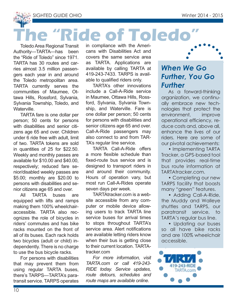SIGHTED GUIDE OHIO Winter 2014 - 2015

# **The "Ride of Toledo"**

Toledo Area Regional Transit Authority—TARTA—has been the "Ride of Toledo" since 1971. TARTA has 30 routes and carries almost 3.5 million passengers each year in and around the Toledo metropolitan area. TARTA currently serves the communities of Maumee, Ottawa Hills, Rossford, Sylvania, Sylvania Township, Toledo, and Waterville.

TARTA fare is one dollar per person; 50 cents for persons with disabilities and senior citizens age 65 and over. Children under 6 ride free with adult, limit of two. TARTA tokens are sold in quantities of 25 for \$22.50. Weekly and monthly passes are available for \$10.00 and \$40.00, respectively; reduced fare senior/disabled weekly passes are \$5.00; monthly are \$20.00 to persons with disabilities and senior citizens age 65 and over.

All TARTA buses are equipped with lifts and ramps making them 100% wheelchairaccessible. TARTA also recognizes the role of bicycles in riders' commutes and has bike racks mounted on the front of all of its buses. Each rack holds two bicycles (adult or child) independently. There is no charge to use the bus bicycle racks.

For persons with disabilities that may prevent them from using regular TARTA buses, there's TARPS—TARTA's paratransit service. TARPS operates

in compliance with the Americans with Disabilities Act and covers the same service area as TARTA. Applications are available by calling TARTA at 419-243-7433. TARPS is available to qualified riders only.

TARTA's other innovations include a Call-A-Ride service in Maumee, Ottawa Hills, Rossford, Sylvania, Sylvania Township, and Waterville. Fare is one dollar per person; 50 cents for persons with disabilities and senior citizens age 65 and over. Call-A-Ride passengers may also connect to and from TAR-TA's regular line service.

TARTA Call-A-Ride offers a more flexible schedule than fixed-route bus service and is designed to transport riders in and around their community. Hours of operation vary, but most run Call-A-Rides operate seven days per week.

TARTAtracker.com is a website accessible from any computer or mobile device allowing users to track TARTA line service buses for arrival times to stops throughout TARTA's service area. Alert notifications are available letting riders know when their bus is getting close to their current location. TARTAtracker.com

*For more information, visit TARTA.com or call 419-243- RIDE today. Service updates, route detours, schedules and route maps are available online.*

## *When We Go Further, You Go Further*

As a forward-thinking organization, we continually embrace new technologies that protect the environment, improve operational efficiency, reduce costs and, above all, enhance the lives of our riders. Here are some of our pivotal achievements:

• Implementing TARTA Tracker, a GPS-based tool that provides real-time bus route information at TARTAtracker.com.

• Completing our new TARPS facility that boasts many "green" features.

• Adding Call-A-Ride, the Muddy and Walleye shuttles and TARPS, our paratransit service, to TARTA's regular bus line.

• Updating our buses so all have bike racks and are 100% wheelchair accessible.

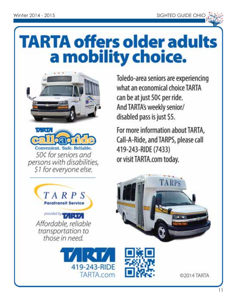

# **TARTA offers older adults** a mobility choice.





Toledo-area seniors are experiencing what an economical choice TARTA can be at just 50¢ per ride. And TARTA's weekly senior/ disabled pass is just \$5.

For more information about TARTA. Call-A-Ride, and TARPS, please call 419-243-RIDE (7433) or visit TARTA.com today.

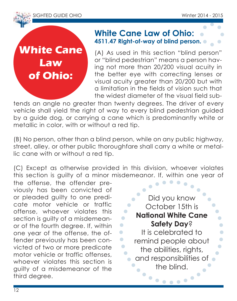

**White Cane Law of Ohio:** 

### **White Cane Law of Ohio: 4511.47 Right-of-way of blind person.**

(A) As used in this section "blind person" or "blind pedestrian" means a person having not more than 20/200 visual acuity in the better eye with correcting lenses or visual acuity greater than 20/200 but with a limitation in the fields of vision such that the widest diameter of the visual field sub-

tends an angle no greater than twenty degrees. The driver of every vehicle shall yield the right of way to every blind pedestrian guided by a guide dog, or carrying a cane which is predominantly white or metallic in color, with or without a red tip.

(B) No person, other than a blind person, while on any public highway, street, alley, or other public thoroughfare shall carry a white or metallic cane with or without a red tip.

(C) Except as otherwise provided in this division, whoever violates this section is guilty of a minor misdemeanor. If, within one year of

the offense, the offender previously has been convicted of or pleaded guilty to one predicate motor vehicle or traffic offense, whoever violates this section is guilty of a misdemeanor of the fourth degree. If, within one year of the offense, the offender previously has been convicted of two or more predicate motor vehicle or traffic offenses, whoever violates this section is guilty of a misdemeanor of the third degree.

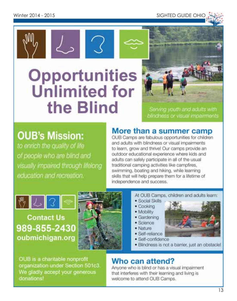**SIGHTED GUIDE OHIO** 





Serving youth and adults with blindness or visual impairments

## **OUB's Mission:**

to enrich the quality of life of people who are blind and visually impaired through lifelong education and recreation.

## More than a summer camp

OUB Camps are fabulous opportunities for children and adults with blindness or visual impairments to learn, grow and thrive! Our camps provide an outdoor educational experience where kids and adults can safely participate in all of the usual traditional camping activities like campfires. swimming, boating and hiking, while learning skills that will help prepare them for a lifetime of independence and success.



**Contact Us** 989-855-2430 oubmichigan.org



- At OUB Camps, children and adults learn:
- · Social Skills
- · Cooking
- · Mobility
- · Gardening
- $Science$
- · Nature
- · Self-reliance
- · Self-confidence
- · Blindness is not a barrier, just an obstacle!

OUB is a charitable nonprofit organization under Section 501c3 We gladly accept your generous donations!

## Who can attend?

Anyone who is blind or has a visual impairment that interferes with their learning and living is welcome to attend OUB Camps.

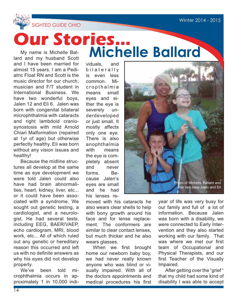

My name is Michelle Ballard and my husband Scott **Our Stories... Michelle Ballard**

and I have been married for almost 15 years. I am a Pediatric Float RN and Scott is the music director for our church, musician and F/T student in International Business. We have two wonderful boys, Jalen 12 and Eli 6. Jalen was born with congenital bilateral microphthalmia with cataracts and right lambdoid craniosynostosis with mild Arnold Chiari Malformation (repaired at 1yr of age) but otherwise perfectly healthy. Eli was born without any vision issues and healthy!

Because the midline structures all develop at the same time as eye development we were told Jalen could also have had brain abnormalities, heart, kidney, liver, etc... or it could have been associated with a syndrome. We sought out genetic testing, a cardiologist, and a neurologist. He had several tests, including EEG, BAER/VAEP, echo cardiogram, MRI, blood work, etc... All of which ruled out any genetic or hereditary reason this occurred and left us with no definite answers as why his eyes did not develop properly.

We've been told microphthalmia occurs in approximately 1 in 10,000 individuals, and b i laterally is even less common. Micropthalmia means small eyes and either the eye is severely underdeveloped or just small. It mostly affects only one eye. There is also anophthalmia with means the eye is completely absent and never forms. Because Jalen's eyes are small and he had his lenses re-

moved with his cataracts he also wears clear shells to help with bony growth around his face and for lense replacement. The conformers are similar to clear contact lenses. but much thicker and he also wears glasses.

When we first brought home our newborn baby boy, we had never really known anyone who was blind or visually impaired. With all of the doctors appointments and medical procedures his first



year of life was very busy for our family and full of a lot of information. Because Jalen was born with a disability, we were connected to Early Intervention and they also started working with our family. That was where we met our first team of Occupational and Physical Therapists, and our first Teacher of the Visually Impaired.

After getting over the "grief " that my child had some kind of disability I was able to accept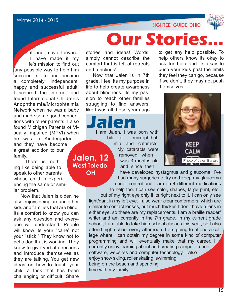

it and move forward. I have made it my life's mission to find out any possible way to help him succeed in life and become a completely, independent, happy and successful adult! I scoured the internet and found International Children's Anophthalmia/Microphtalmia Network when he was a baby and made some good connections with other parents. I also found Michigan Parents of Visually Impaired (MPVI) when he was in Kindergarten and they have become a great addition to our family. **Jalen, 12** 

 There is nothing like being able to speak to other parents whose child is experiencing the same or similar problem.

Now that Jalen is older, he also enjoys being around other kids and families that are blind. Its a comfort to know you can ask any question and everyone will understand. People will know its your "cane" not your "stick." They know not to pet a dog that is working. They know to give verbal directions and introduce themselves as they are talking. You get new ideas on how to teach your child a task that has been challenging or difficult. Share

stories and ideas! Words, simply cannot describe the comfort that is felt at retreats and functions!

Now that Jalen is in 7th grade, I feel its my purpose in life to help create awareness about blindness. Its my passion to reach other families struggling to find answers. like I was all those years ago

**OH**

**Jalen.** I was born with bilateral microphthalmia and cataracts. My cataracts were removed when I was 3 months old and since then I **West Toledo,** 

to get any help possible. To help others know its okay to ask for help and its okay to push your kids past the limits they feel they can go, because if we don't, they may not push themselves.

SIGHTED GUIDE OHIO

**Our Stories** 



have developed nystagmus and glaucoma. I've had many surgeries to try and keep my glaucoma under control and I am on 4 different medications to help too. I can see color, shapes, large print, etc..

out of my right eye only if its right next to it. I can only see light/dark in my left eye. I also wear clear conformers, which are similar to contact lenses, but much thicker. I don't have a lens in either eye, so these are my replacements. I am a braille reader/ writer and am currently in the 7th grade. In my current grade school, I am able to take high school classes this year, so I also attend high school every afternoon. I am going to attend a college where I can obtain my degree in some kind of computer programming and will eventually make that my career. I currently enjoy learning about and creating computer code, software, websites and computer technology. I also enjoy snow skiing, roller skating, swimming, being on the beach and spending time with my family.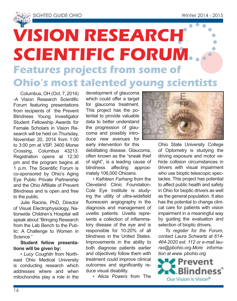# **VISION RESEARCH SCIENTIFIC FORUM Features projects from some of Ohio's most talented young scientists**

Columbus, OH (Oct. 7, 2014) -A Vision Research Scientific Forum featuring presentations from recipients of the Prevent Blindness Young Investigator Student Fellowship Awards for Female Scholars in Vision Research will be held on Thursday. November 20, 2014 from 1:00 to 3:00 pm at VSP, 3400 Morse Crossing, Columbus 43213. Registration opens at 12:30 pm and the program begins at 1 p.m. The Scientific Forum is co-sponsored by Ohio's Aging Eye Public Private Partnership and the Ohio Affiliate of Prevent Blindness and is open and free to the public.

Julie Racine, PhD, Director of Visual Electrophysiology, Nationwide Children's Hospital will speak about "Bringing Research from the Lab Bench to the Public: A Challenge to Women in Science."

#### **Student fellow presentations will be given by:**

• *Lucy Coughlin* from Northeast Ohio Medical University is conducting research which addresses where and when mitochondria play a role in the development of glaucoma which could offer a target for glaucoma treatment. This project has the potential to provide valuable data to better understand the progression of glaucoma and possibly introduce new avenues for early intervention for this

debilitating disease. Glaucoma, often known as the "sneak thief of sight", is a leading cause of blindness affecting approximately 106,000 Ohioans.

• *Kathleen Farhang* from the Cleveland Clinic Foundation-Cole Eye Institute is studying the utility of ultra-widefield fluorescein angiography in the diagnosis and management of uveitis patients. Uveitis represents a collection of inflammatory disease of the eye and is responsible for 10-20% of all blindness in the United States. Improvements in the ability to both diagnose patients earlier and objectively follow them with treatment could improve clinical outcomes and significantly reduce visual disability.

• *Alicia Powers* from The



Ohio State University College of Optometry is studying the driving exposure and motor vehicle collision circumstances in drivers with visual impairment who use bioptic telescopic spectacles. This project has potential to affect public health and safety in Ohio for bioptic drivers as well as the general population. It also has the potential to change clinical care for patients with vision impairment in a meaningful way by guiding the evaluation and selection of bioptic drivers.

*To register for the Forum, contact Laura Schwartz at 614- 464-2020 ext. 112 or e-mail lauras@pbohio.org.More information at www. pbohio.org*

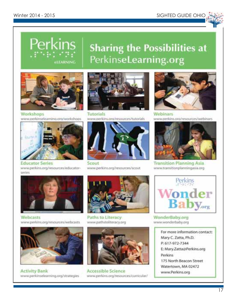

### Perkins **Sharing the Possibilities at** PerkinseLearning.org **ELEARNING**



Warkshops www.perkinselearning.org/workshops



**Educator Series** www.perkins.org/resources/educatorseries



Webcasts www.perkins.org/resources/webcasts



**Activity Bank** www.perkinselearning.org/strategies



Tutorials www.nerkins.org/resources/tutorials



Scout www.perkins.org/resources/scout



Paths to Literacy www.pathstoliteracy.org



**Accessible Science** www.perkins.org/resources/curricular/



Webinars www.perkins.org/resources/webinars



**Transition Planning Asia** www.transitionplanningasia.org



WonderBaby.org www.wonderbaby.org

For more information contact: Mary C. Zatta, Ph.D. P: 617-972-7344 E: Mary.Zatta@Perkins.org Perkins 175 North Beacon Street Watertown, MA 02472 www.Perkins.org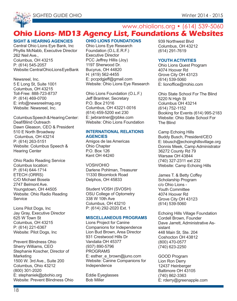

### **Ohio Lions- MD13 Agency List, Foundations & Websites** www.ohiolions.org • (614) 539-5060

#### **SIGHT & HEARING AGENCIES**

Central Ohio Lions Eye Bank, Inc Phyllis McNabb, Executive Director 262 Neil Ave. Columbus, OH 43215 P: (614) 545-2057 Website: Central Ohio Lions Eye Bank

Newsreel, Inc. 5 E Long St, Suite 1001 Columbus, OH 43215 Toll-Free: 888-723-8737 P: (614) 469-0700 E: info@newsreelmag.org Website: Newsreel, Inc.

Columbus Speech & Hearing Center: Deaf/Blind Outreach Dawn Gleason, CEO & President 510 E North Broadway Columbus, OH 43214 P: (614) 263-5151 Website: Columbus Speech & Hearing Center

Ohio Radio Reading Service Columbus location: P: (614) 644-1714 ETECH (ORRS) C/O Michael Bosela 2747 Belmont Ave. Youngstown, OH 44505 Website: Ohio Radio Reading **Service** 

Lions Pilot Dogs, Inc Jay Gray, Executive Director 625 W Town St Columbus, OH 43215 P: (614) 221-6367 Website: Pilot Dogs, Inc

Prevent Blindness Ohio Sherry Williams, CEO Stephanie Koscher, Director of **Marketing** 1500 W. 3rd Ave., Suite 200 Columbus, Ohio 43212 (800) 301-2020 E: stephaniek@pbohio.org Website: Prevent Blindness Ohio

#### **OHIO LIONS FOUNDATIONS**

Ohio Lions Eye Research Foundation (O.L.E.R.F.) Executive Director PCC Jeffrey Hillis (Joy) 1197 Sherwood Dr. Bucyrus, OH 44820 H: (419) 562-4455 E: pccpdgjeff@gmail.com Website: Ohio Lions Eye Research

Ohio Lions Foundation (O.L.F.) Jeff Brantner, Secretary P.O. Box 21016 Columbus, OH 43221-0016 (614) 459-5200 ext 230 E: jwbrantner@rpbke.com Website: Ohio Lions Foundation

#### **INTERNATIONAL RELATIONS AGENCIES**

Amigos de las Americas Ohio Chapter P.O. Box 126 Kent OH 44240

VOSH/OHIO Darlene Pohlman, Treasurer 11330 Bloomlock Road Delphos, OH 45833

Student VOSH (SVOSH) OSU College of Optometry 338 W 10th Ave Columbus, OH 43210 P: (614) 292-2020 Ext. 1

#### **MISCELLANEOUS PROGRAMS**

Lions Project for Canine Companions for Independence Lion Bud Brown, Area Director 931 Crestwood Hills Dr Vandalia OH 45377 (937) 890-5796 **PROGRAMS** E: esther\_e\_brown@juno.com Website: Canine Companions for Independence

Eddie Eyeglasses Bob Miller

939 Northwest Blvd Columbus, OH 43212 (614) 291-7619

#### **YOUTH ACTIVITIES**

Ohio Lions Quest Program 4074 Hoover Rd Grove City OH 43123 (614) 539-5060 E: lionoffice@rrohio.com

Ohio State School For The Blind 5220 N High St Columbus OH 43214 (614) 752-1152 Booking for Events (614) 995-2183 Website: Ohio State School For The Blind

Camp Echoing Hills Buddy Busch, President/CEO E: bbusch@echoinghillsvillage.org Donnis Meek, Camp Administrator 36272 County Rd 79 Warsaw OH 43844 (740) 327-2311 ext 232 Website: Camp Echoing Hills

James T. & Betty Coffey Scholarship Program c/o Ohio Lions - Youth Committee 4074 Hoover Rd Grove City OH 43123 (614) 539-5060

Echoing Hills Village Foundation Cordell Brown, Founder Dave Jarrett, Administrative Assistant 448 Main St, Ste. 204 Coshocton OH 43812 (800) 470-0577 (740) 623-2250

GOOD Program Lion Ron Derry 12437 Heinberger Baltimore OH 43105 (740) 862-3363 E: rderry@greenapple.com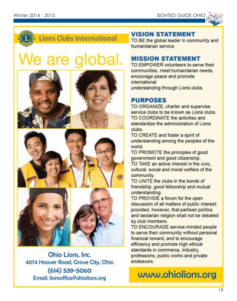

## **Lions Clubs International**

# We are global.





Ohio Lions, Inc. 4074 Hoover Road, Grove City, Ohio  $(614)$  539-5060 Email: lionsoffice@ohiolions.org

### **VISION STATEMENT**

TO BE the global leader in community and humanitarian service

### **MISSION STATEMENT**

TO EMPOWER volunteers to serve their communities, meet humanitarian needs, encourage peace and promote international understanding through Lions clubs.

### **PURPOSES**

TO ORGANIZE, charter and supervise service clubs to be known as Lions clubs. TO COORDINATE the activities and standardize the administration of Lions clubs.

TO CREATE and foster a spirit of understanding among the peoples of the world

TO PROMOTE the principles of good government and good citizenship. TO TAKE an active interest in the civic. cultural, social and moral welfare of the community.

TO UNITE the clubs in the bonds of friendship, good fellowship and mutual understanding.

TO PROVIDE a forum for the open discussion of all matters of public interest; provided, however, that partisan politics and sectarian religion shall not be debated by club members.

TO ENCOURAGE service-minded people to serve their community without personal financial reward, and to encourage efficiency and promote high ethical standards in commerce, industry, professions, public works and private endeavors

## www.ohiolions.org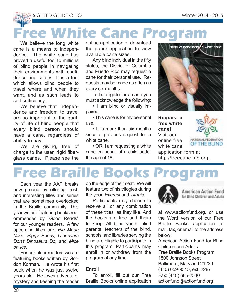SIGHTED GUIDE OHIO Winter 2014 - 2015

# **Free White Cane Program**

We believe the long white cane is a means to independence. The white cane has proved a useful tool to millions of blind people in navigating their environments with confidence and safety. It is a tool which allows blind people to travel where and when they want, and as such leads to self-sufficiency.

We believe that independence and freedom to travel are so important to the quality of life of blind people that every blind person should have a cane, regardless of ability to pay.

We are giving, free of charge to the user, rigid fiberglass canes. Please see the online application or download the paper application to view available cane sizes.

Any blind individual in the fifty states, the District of Columbia and Puerto Rico may request a cane for their personal use. Requests may be made as often as every six months.

To be eligible for a cane you must acknowledge the following:

• I am blind or visually impaired.

• This cane is for my personal use.

• It is more than six months since a previous request for a white cane.

• OR, I am requesting a white cane on behalf of a child under the age of 18.



**Request a free white cane!** Visit our online free white cane



application form at http://freecane.nfb.org.

# **Free Braille Books Pro**

Each year the AAF breaks new ground by offering fresh and interesting titles and series that are sometimes overlooked in the Braille community. This year we are featuring books recommended by "Good Reads" for our younger readers. A few upcoming titles are: *Big Mean Mike, Piggy Bunny, Dinosaurs Don't Dinosaurs Do,* and *Mice on Ice*.

For our older readers we are featuring books written by Gordon Korman. He wrote his first book when he was just twelve years old! He loves adventure, mystery and keeping the reader on the edge of their seat. We will feature two of his trilogies during the year, *Everest* and *Titanic*.

Participants may choose to receive all or any combination of these titles, as they like. And the books are free and theirs to keep. All blind youth, blind parents, teachers of the blind, schools, and libraries serving the blind are eligible to participate in this program. Participants may enroll in or withdraw from the program at any time.

#### **Enroll**

To enroll, fill out our Free Braille Books online application



American Action Fund for Blind Children and Adults

at www.actionfund.org, or use the Word version of our Free Braille Books application to mail, fax, or email to the address below:

American Action Fund for Blind Children and Adults Free Braille Books Program 1800 Johnson Street Baltimore, Maryland 21230 (410) 659-9315, ext. 2287 Fax: (410) 685-2340 actionfund@actionfund.org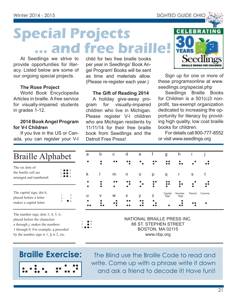**Special Projects ... and free braille!**

At Seedlings we strive to provide opportunities for literacy. Listed below are some of our ongoing special projects.

#### **The Rose Project**

World Book Encyclopedia Articles in braille. A free service for visually-impaired students in grades 1-12.

#### **2014 Book Angel Program for V-I Children**

If you live in the US or Canada, you can register your V-I

Braille Alphabet

child for two free braille books per year in Seedlings' Book Angel Program! Books will be sent as time and materials allow. (Please re-register each year.)

#### **The Gift of Reading 2014**

A holiday give-away program for visually-impaired children who live in Michigan. Please register V-I children who are Michigan residents by 11/11/14 for their free braille book from Seedlings and the Detroit Free Press!

 $\ddot{\phantom{a}}$ 



Sign up for one or more of these programsonline at www. seedlings.org/special.php

Seedlings Braille Books for Children is a 501(c)3 nonprofit, tax-exempt organization dedicated to increasing the opportunity for literacy by providing high quality, low cost braille books for children.

For details call 800-777-8552 or visit www.seedlings.org

Capital Number Period Comma<br>Sign Sign

 $\bullet$ 

| Diality Alphabet                                                              |                    |  |
|-------------------------------------------------------------------------------|--------------------|--|
| The six dots of<br>the braille cell are<br>arranged and numbered:             | 2.005<br>3.0066    |  |
| The capital sign, dot 6,<br>placed before a letter<br>makes a capital letter. | 1<br>$\mathcal{D}$ |  |

The number sign, dots 3, 4, 5, 6, placed before the characters a through j, makes the numbers 1 through 0. For example: a preceded by the number sign is  $1, \underline{b}$  is 2, etc.



> The Blind use the Braille Code to read and write. Come up with a phrase write it down and ask a friend to decode it! Have fun!!

NATIONAL BRAILLE PRESS INC. 88 ST. STEPHEN STREET BOSTON, MA 02115 www.nbp.org

abcdef ghi j

k l mn o p q r s t

 

u v w x y z <sup>Capital Numbe</sup>

 
-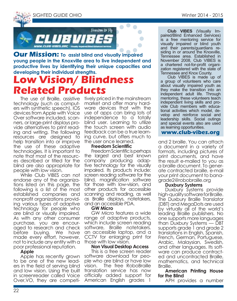



#### **Our Mission: To assist blind and visually impaired young people in the Knoxville area to live independent and productive lives by identifying their unique capacities and developing their individual strengths.**

## **Low Vision/ Blindness Related Products**

The use of Braille, assistive technology (such as computers with synthetic speech), IOS devices from Apple with Voice Over software included, scanners, or large-print displays provide alternatives to print reading and writing. The following resources are designed to help transition into or improve the use of these adaptive technologies. It is important to note that most of the resources described or titled for the blind are also appropriate for people with low vision.

While Club VIBES can not endorse any of the organizations listed on this page, the following is a list of the most established companies and nonprofit organizations providing various types of adaptive technology for people who are blind or visually impaired. As with any other consumer purchase, you are encouraged to research and check before buying. We have made every effort, however, not to include any entity with a poor professional reputation.

#### **Apple**

Apple has recently grown to be one of the new leaders in the field of serving blind and low vision. Using the built in screenreader called Voice Over,VO, they are competitively priced in the mainstream market and offer many hardware devices that with the use of apps can bring lots of independence to a totally blind user. Learning to utilize the touch screen with audio feedback can be a true learning curve, but offers much to the user once learned.

#### **Freedom Scientific**

Freedom Scientific is perhaps the largest and best known company producing adaptive technology for the visually impaired. Its products include: screen reading software for the blind, magnification software for those with low-vision, and other products for accessible scanning and reading, as well as Braille displays, notetakers, and an accessible PDA.

#### **GW Micro**

GW Micro features a wide range of adaptive products, which include screen reading software, Braille notetakers. an accessible laptop, and a CCTV for enlarging print for those with low vision.

#### **Non Visual Desktop Access**

This is a free screen reader software download for people who are blind or have low vision. The free RoboBraille translation service has now officially added support for American English grades 1

**Club VIBES** (Visually Impaired/Blind Enhanced Services) is a free mentoring service for visually impaired or blind youth and their parents/guardians residing in or around the Knoxville, Tennessee area. Established in November 2008, Club VIBES is a chartered not-for-profit organization registered with the state of Tennessee and Knox County.

Club VIBES is made up of a group of volunteers who care about visually impaired youth as they make the transition into an independent adult life. Through mentoring, these volunteers teach independent living skills and provide Club members with educational activities which model, develop and reinforce social and leadership skills. Social outings and special events also are used as learning opportunities.

**www.club-vibes.org**

and 2 braille. You can attach a document in a variety of formats, including pictures of print documents, and have the result e-mailed to you as a braille document. To generate contracted braille, e-mail your print document to banagrade2@robobraille.org

#### **Duxbury Systems**

Duxbury Systems provide high-quality software for Braille. The Duxbury Braille Translator (DBT) and MegaDots are used by virtually all of the world's leading Braille publishers. No one supports more languages than Duxbury Systems — DBT supports grade 1 and grade 2 translations in English, Spanish, French, German, Portuguese, Arabic, Malaysian, Swedish, and other languages. Its software can produce contracted and uncontracted Braille, mathematics, and technical Braille.

#### **American Printing House for the Blind**

APH provides a number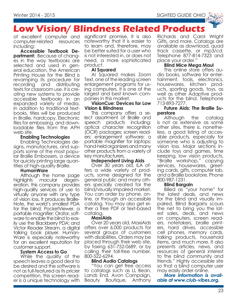

## **Low Vision/ Blindness Related Products**

of excellent computer and computer-related resources including:

**Accessible Textbook Department:** Because of changes in the way textbooks are selected and used in general education, the American Printing House for the Blind is revamping its procedure for recording and distributing texts for classroom use. It is creating new systems to provide accessible textbooks in an expanded variety of media. In addition to traditional textbooks, titles will be produced in Braille, hardcopy, Electronic files for embossing, and downloadable files from the APH web site.

#### **Enabling Technologies**

Enabling Technologies designs, manufactures, and supports some of the most popular Braille Embossers, a device for quickly printing large quantities of high-quality Braille.

#### **HumanWare**

Although the home page highlights macular degeneration, this company provides high-quality services of use to virtually anyone with any type of vision loss. It produces Braille-Note, the world's smallest PDA for the blind; PocketViewer, a portable magnifier; Orator, software to enable the blind to easily use the Blackberry PDA; and Victor Reader Stream, a digital talking book player. Human-Ware is especially noteworthy for an excellent reputation for customer support.

#### **System Access to Go**

While the quality of the speech leaves a good deal to be desired and the software is not as full-featured as its pricier competition, this screen reader is a unique technology with

significant promise. It is also noteworthy that it is easier to to learn and, therefore, may be better suited for a user who is not interested in, or does not need, a more sophisticated product.

#### **AI Squared**

AI Squared makes Zoom Text, one of the leading screen enlargement programs for using computers. It is one of the largest and best known companies in this market.

#### **VisionCue: Devices for Low Vision & Blindness**

This company offers a select assortment of Braille and speech products including: optical character recognition (OCR) packages; screen readers; enlargement software; a portable magnifier for laptops; hand-held organizers and many other products from a variety of key manufacturers.

#### **Independent Living Aids**

Over 30 years old, ILA offers a wide variety of products, some designed for the general public and many others specially created for the blind/visually impaired market. You can order by phone, online, or through an accessible catalog. You may also get either a free PDF or text-based catalog.

#### **MaxiAids**

Over 20 years old, MaxiAids offers over 6,000 products for several groups of customers with disabilities. Orders may be placed through their web site, by faxing 631-752-0689, or by calling their toll-free number, 800-522-6294.

#### **Blind Audio Catalogs**

"You can get free access to catalogs such as LL Bean, Lands End, Avon Campaign, Beauty Boutique, Anthony Richards and Carol Wright Gifts, and more. Catalogs are available as download, quad track cassette, or mp3/cd. Telephone 877-814-7323 and place your order."

#### **Blind Mice Mega Maul**

This online store offers audio books, software for entertainment, tools, electronics, housewares, kitchen products, sporting goods, toys, as well as other Adaptive products for the blind. Telephone 713-893-7277.

#### **Future Aids: The Braille Superstore**

Although the catalog is not as extensive as some other sites, there is, nonetheless, a good listing of accessible products, especially for someone who is adjusting to vision loss. Major sections include toys and games, time keeping, low vision products, "Braille workshop," copying services, housewares, greeting cards, gifts, computer lab, and a Braille bookstore. Phone 800-987-1231.

#### **Blind Bargain**

Billed as "your home" for the latest deals, and news for the blind and visually impaired. Blind Bargains scours the net to bring you the latest sales, deals, and news on computers, screen readers, notetakers, braille printers, hard drives, accessible cell phones, memory cards, talking products, household items, and much more. It also presents articles, news, and resources of general interest to the blind community and friends." Highly accessible site so that a blind computer user may easily order online.

*More information is available at www.club-vibes.org.*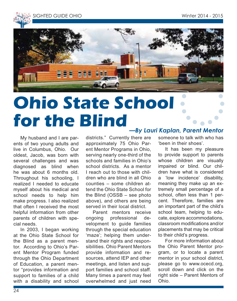



# **Ohio State School for the Blind**

My husband and I are parents of two young adults and live in Columbus, Ohio. Our oldest, Jacob, was born with several challenges and was diagnosed as blind when he was about 6 months old. Throughout his schooling, I realized I needed to educate myself about his medical and school needs to help him make progress. I also realized that often I received the most helpful information from other parents of children with special needs.

In 2003, I began working at the Ohio State School for the Blind as a parent mentor. According to Ohio's Parent Mentor Program funded through the Ohio Department of Education, a parent mentor "provides information and support to families of a child with a disability and school districts." Currently there are approximately 75 Ohio Parent Mentor Programs in Ohio, serving nearly one-third of the schools and families in Ohio's school districts. As a mentor I reach out to those with children who are blind in all Ohio counties – some children attend the Ohio State School for the Blind (OSSB – see photo above), and others are being served in their local district.

Parent mentors receive ongoing professional development to guide families through the special education 'maze'; helping them understand their rights and responsibilities. Ohio Parent Mentors provide information and resources, attend IEP and other meetings, and listen and support families and school staff. Many times a parent may feel overwhelmed and just need

#### *—By Lauri Kaplan, Parent Mentor*

someone to talk with who has 'been in their shoes'.

It has been my pleasure to provide support to parents whose children are visually impaired or blind. Our children have what is considered a 'low incidence' disability, meaning they make up an extremely small percentage of a school, often less than 1 percent. Therefore, families are an important part of the child's school team, helping to educate, explore accommodations, classroom modifications and/or placements that may be critical to their child's progress.

For more information about the Ohio Parent Mentor program, or to locate a parent mentor in your school district, please go to www.ocecd.org, scroll down and click on the right side – Parent Mentors of Ohio.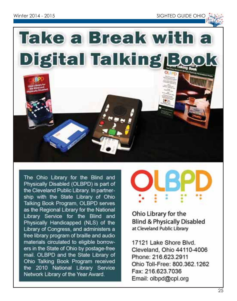



The Ohio Library for the Blind and Physically Disabled (OLBPD) is part of the Cleveland Public Library. In partnership with the State Library of Ohio Talking Book Program, OLBPD serves as the Regional Library for the National Library Service for the Blind and Physically Handicapped (NLS) of the Library of Congress, and administers a free library program of braille and audio materials circulated to eligible borrowers in the State of Ohio by postage-free mail. OLBPD and the State Library of Ohio Talking Book Program received the 2010 National Library Service Network Library of the Year Award.



Ohio Library for the **Blind & Physically Disabled** at Cleveland Public Library

17121 Lake Shore Blvd. Cleveland, Ohio 44110-4006 Phone: 216.623.2911 Ohio Toll-Free: 800.362.1262 Fax: 216.623.7036 Email: olbpd@cpl.org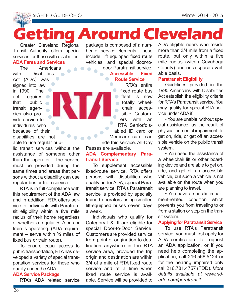SIGHTED GUIDE OHIO Winter 2014 - 2015

# **Getting Around Cleveland Regional package is composed of a num-ADA eligible riders who reside**

Greater Cleveland Regional Transit Authority offers special services for those with disabilities.

#### **ADA Fares and Services**

The Americans<br>with Disabilities Disabilities Act (ADA) was signed into law in 1990. The act requires **or** that public transit agencies also provide service to individuals who because of their disabilities are not able to use regular pub-

lic transit services without the assistance of someone other than the operator. The service must be provided during the same times and areas that persons without a disability can use regular bus or train service.

RTA is in full compliance with this requirement of the ADA law and in addition, RTA offers service to individuals with Paratransit eligibility within a five mile radius of their home regardless of whether a regular RTA bus or train is operating. (ADA requirement – serve within  $\frac{3}{4}$  miles of fixed bus or train route).

To ensure equal access to public transportation, RTA has developed a variety of special transportation services for those who qualify under the ADA.

#### **ADA Service Package**

RTA's ADA related service

ber of service elements. These include: lift equipped fixed route vehicles, and special door-todoor Paratransit service.

#### **Accessible Fixed Route Service**

RTA's entire fixed route bus fleet is now totally wheelchair accessible. Customers with an RTA Senior/disabled ID card or Medicare card can ride this service. All-Day

Passes are available.

#### **ADA Complementary Paratransit Service**

To supplement accessible fixed-route service, RTA offers persons with disabilities who qualify under ADA, special Paratransit service. RTA's Paratransit service is provided by specially trained operators using smaller, lift-equipped buses seven days a week.

Individuals who qualify for Category I & III are eligible for special Door-to-Door Service. Customers are provided service from point of origination to destination anywhere in the RTA service area, provided the trip origin and destination are within 3/4 of a mile of RTA fixed route service and at a time when fixed route service is available. Service will be provided to

ADA eligible riders who reside more than 3/4 mile from a fixed route, but only within a five mile radius (within Cuyahoga County) and on a space available basis.

#### **Paratransit Eligibility**

Guidelines provided in the 1990 Americans with Disabilities Act establish the eligibility criteria for RTA's Paratransit service. You may qualify for special RTA service under ADA if:

• You are unable, without special assistance, as the result of physical or mental impairment, to get on, ride, or get off an accessible vehicle on the public transit system.

• You need the assistance of a wheelchair lift or other boarding device and are able to get on, ride, and get off an accessible vehicle, but such a vehicle is not available on the route when you are planning to travel.

• You have a specific impairment-related condition which prevents you from traveling to or from a station or stop on the transit system.

#### **Applying for Paratransit Service**

To use RTA's Paratransit service, you must first apply for ADA certification. To request an ADA application, or if you need help completing the application, call 216.566.5124 or for the hearing impaired only call 216.781.4757 (TDD). *More details available at www.riderta.com/paratransit.*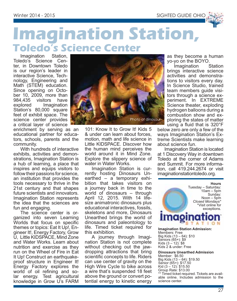

## **Imagination Station, Toledo's Science Center**

Imagination Station, Toledo's Science Center, in Downtown Toledo is our region's leader in interactive Science, Technology, Engineering and Math<sup>"</sup> (STEM) education. Since opening on October 10, 2009, more than 984,435 visitors have<br>explored Imagination Imagination Station's 80,000 square feet of exhibit space. The science center provides a critical layer of science

enrichment by serving as an educational partner for educators, schools, parents and the community.

With hundreds of interactive exhibits, activities and demonstrations, Imagination Station is a hub of learning, a place that inspires and equips visitors to follow their passions for science, an institution that provides the tools necessary to thrive in the 21st century and that shapes future scientists and innovators. Imagination Station represents the idea that the sciences are fun and engaging.

The science center is organized into seven Learning Worlds that focus on specific themes or topics: Eat It Up!, Engineer It!, Energy Factory, Grow U, Little KIDSPACE, Mind Zone and Water Works. Learn about nutrition and exercise as they run on the Wheel of Fire in Eat It Up! Construct an earthquakeproof structure in Engineer It! Energy Factory explores the world of oil refining and solar energy. Test agricultural knowledge in Grow U's FARM



101: Know It to Grow It! Kids 5 & under can learn about forces, motion, math and life science in Little KIDSPACE. Discover how the human mind perceives the world around it in Mind Zone. Explore the slippery science of water in Water Works.

Imagination Station is currently hosting Dinosaurs Unearthed – a temporary exhibition that takes visitors on a journey back in time to the world of dinosaurs – through April 12, 2015. With 14 lifesize animatronic dinosaurs plus educational interactives, fossils, skeletons and more, Dinosaurs Unearthed brings the world of dinosaurs and paleontology to life. Timed ticket required for this exhibition.

A journey through Imagination Station is not complete without checking out the jawdropping attractions that bring scientific concepts to life. Riders can use center of gravity on the High Wire Cycle to bike across a wire that's suspended 18 feet above the ground or convert potential energy to kinetic energy as they become a human yo-yo on the BOYO.

Imagination brings interactive science activities and demonstrations to visitors every day. In Science Studio, trained team members guide visitors through a science experiment. In EXTREME Science theater, exploding hydrogen balloons during a combustion show and exploring the states of matter using a fluid that is 320°F

below zero are only a few of the ways Imagination Station's Extreme Scientists make learning about science fun.

Imagination Station is located at 1 Discovery Way in downtown Toledo at the corner of Adams and Summit. For more information, call 419.244.2674 or visit imaginationstationtoledo.org.



Members: Free Big Kids (13 – 64): \$10 Seniors (65+): \$9 Kids  $(3 - 12)$ : \$8 Kids 2 & under: Free

**Dinosaurs Unearthed Admission** Member: \$6.50 Big Kids (13 – 64): \$19.50 Senior (65+): \$17.50 Kid  $(3 - 12)$ : \$15.50 Group Rate: \$13.00 \*\* Timed ticket required. Tickets are available online. Includes admission to the science center.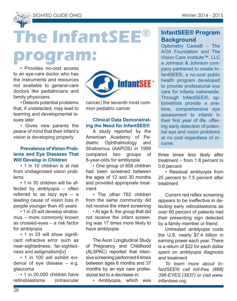

# **The InfantSEE®**

**program:**

• Provides no-cost access to an eye-care doctor who has the instruments and resources not available to general-care doctors like pediatricians and family physicians

• Detects potential problems that, if undetected, may lead to learning and developmental issues later

• Gives new parents the peace of mind that their infant's vision is developing properly

#### **Prevalence of Vision Problems and Eye Diseases That Will Develop in Children**

• 1 in 10 children is at risk from undiagnosed vision problems

• 1 in 30 children will be affected by amblyopia – often referred to as lazy eye – a leading cause of vision loss in people younger than 45 years

• 1 in 25 will develop strabismus – more commonly known as crossed-eyes – a risk factor for amblyopia

• 1 in 33 will show significant refractive error such as near-sightedness, far-sightedness and astigmatism[iv]

• 1 in 100 will exhibit evidence of eye disease – e.g. glaucoma

• 1 in 20,000 children have retinoblastoma (intraocular



cancer) the seventh most common pediatric cancer

#### **Clinical Data Demonstrating the Need for InfantSEE®**

A study reported by the American Academy of Pediatric Ophthalmology and Strabismus (AAPOS) in 1999 compared two groups of 8-year-olds for amblyopia

• One group of 808 children had been screened between the ages of 12 and 30 months and provided appropriate treatment

• The other 782 children from the same community did not receive the infant screening

• At age 8, the group that did not receive the infant screening was 17 times more likely to have amblyopia

The Avon Longitudinal Study of Pregnancy and Childhood (ALSPAC) reported that intensive screening performed 6 times between ages 8 months and 37 months by an eye care professional led to a decrease in:

• Amblyopia, which was

#### **InfantSEE® Program Background**

Optometry Cares® – The AOA Foundation and The Vision Care Institute™, LLC a Johnson & Johnson company partnered to create InfantSEE®, a no-cost public health program developed to provide professional eye care for infants nationwide. Through InfantSEE®, optometrists provide a onetime, comprehensive eye assessment to infants in their first year of life, offering early detection of potential eye and vision problems at no cost regardless of income.

three times less likely after treatment – from 1.8 percent to 0.6 percent

• Residual amblyopia from 25 percent to 7.5 percent after treatment

Current red reflex screening appears to be ineffective in detecting early retinoblastoma as over 80 percent of patients had their presenting sign detected by a family member or friend

Untreated amblyopia costs the U.S. nearly \$7.4 billion in earning power each year. There is a return of \$22 for each dollar spent on amblyopia diagnosis and treatment

*To learn more about InfantSEE® call toll-free (888) 396-EYES (3937) or visit www. infantsee.org.*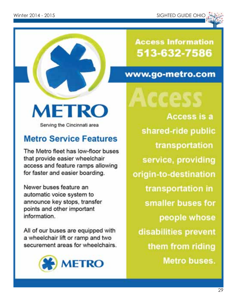

**Access Information** 513-632-7586

## www.go-metro.com

**METRO** 

Serving the Cincinnati area

## **Metro Service Features**

The Metro fleet has low-floor buses that provide easier wheelchair access and feature ramps allowing for faster and easier boarding.

Newer buses feature an automatic voice system to announce key stops, transfer points and other important information.

All of our buses are equipped with a wheelchair lift or ramp and two securement areas for wheelchairs.



**Access is a** shared-ride public transportation service, providing origin-to-destination transportation in smaller buses for

people whose disabilities prevent them from riding **Metro buses.**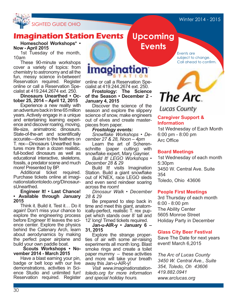#### Winter 2014 - 2015



#### **Imagination Station Events Upcoming**

**Homeschool Workshops\* • Now - April 2015**

1st Tuesday of the month, 10am

These 90-minute workshops cover a variety of topics: from chemistry to astronomy and all the fun, messy science in-between! Reservation required. Register online or call a Reservation Specialist at 419.244.2674 ext. 250.

**Dinosaurs Unearthed • October 25, 2014 – April 12, 2015** 

Experience a new reality with an adventure back in time 65 million years. Actively engage in a unique and entertaining learning experience and discover roaring, moving, life-size, animatronic dinosaurs. State-of-the-art and scientifically accurate—down to the feathers on T. rex—Dinosaurs Unearthed features more than a dozen realistic, full-bodied dinosaurs as well as educational interactive, skeletons, fossils, a predator scene and much more! Presented by BP.

Additional ticket required. Purchase tickets online at imaginationstationtoledo.org/DinosaursUnearthed.

**Engineer It! • Last Chance! • Available through January 2015**

Think it. Build it. Test it… Do it again! Don't miss your chance to explore the engineering process before Engineer It! leaves the science center. Explore the physics behind the Catenary Arch, learn about aerodynamics by making the perfect paper airplane and build your own paddle boat.

**Scouts Workshops • November 2014 - March 2015**

Have a blast earning your pin, badge or belt loop with our live demonstrations, activities in Science Studio and unlimited fun! Reservation required. Register **Events**

Events are subject to change. Call ahead to confirm.

## **imagination**

online or call a Reservation Specialist at 419.244.2674 ext. 250.

**Frostology: The Science of the Season • December 2 - January 4, 2015**

Discover the science of the season and explore the slippery science of snow, make engineers out of elves and create masterpieces from paper.<br>Frostology events:

*Frostology events: Snowflake Workshops • December 27 & 28, Noon – 4pm*

Learn the art of Scherenschnitte (paper cutting) with snowflake expert, Mary Gaynier.

*Build It! LEGO Workshops • December 28 & 29*

Build It! visits Imagination Station. Build a giant snowflake out of K'NEX, race LEGO sleds and even send reindeer soaring across the room!

*Dinosaur Walk • December 28 & 29*

Be prepared to step back in time and meet this giant, anatomically-perfect, realistic T. rex puppet which stands over 8' tall and 12' long! Timed tickets required.

**Jan-u-AIR-y • January 6 – 31, 2015**

Explore the strange properties of air with some air-raising experiments all month long. Blast smoke rings and create a toilet paper mummy – these activities and more will take your breath away this Jan-u-AIR-y!

*Visit www.imaginationstationtoledo.org for more information and special holiday hours.*

# The Arc.

### **Lucas County**

#### **Caregiver Support & Information**

1st Wednesday of Each Month 6:00 pm - 8:00 pm Arc Office

#### **Board Meetings**

1st Wednesday of each month 5:30pm 3450 W. Central Ave. Suite 354 Toledo, Ohio 43606

#### **People First Meetings**

3rd Thursday of each month 6:00 - 8:00 pm The Ability Center 5605 Monroe Street Holiday Party in December

#### **Glass City Beer Festival**

Save The Date for next years event! March 6,2015

*The Arc of Lucas County 3450 W. Central Ave., Suite 354, Toledo, Oh 43606 419.882.0941 www.arclucas.org*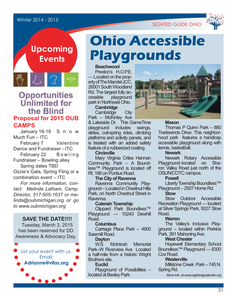#### Winter 2014 - 2015





## **Upcoming Events**

### Opportunities **Unlimited for** the Blind **Proposal for 2015 OUB CAMPS**

January 16-18 S n o w Much Fun – ITC February 7 Valentine

Dance and Fundraiser - ITC

February 22 Bowling Fundraiser – Bowling alley

Spring dates TBD Ozzie's Gala, Spring Fling or a combination event – ITC

*For more information, contact: Melinda Latham, Camp, Director, 517-505-1637 or melinda@oubmichigan,org or go to www.oubmichigan.org*

**SAVE THE DATE!!!!** Tuesday, March 3, 2015 has been reserved for DD Awareness & Advocacy Day.



# **Ohio Accessible Playgrounds**

**Beachwood** Preston's H.O.P.F. — Located on the property of The Mandel JCC, 26001 South Woodland Rd. The largest fully ac-<br>cessible playground playground park in Northeast Ohio.

**Cambridge** Cambridge City

Park – McKinley Ave

& Lakeside Dr. This GameTime playground includes swings, slides, coil-spring rides, climbing platforms and activity panels, and is treated with an added safety feature of a rubberized coating.

#### **Circleville**

Mary Virginia Crites Hannan Community Park – A Boundless™ Playground is located off Rt. 188 on Pontius Road.

**The City of Ravenna** Ravenna Community Playground – Located in Chestnut Hills Park, on North Chestnut Street in Ravenna.

#### **Colerain Township**

Clippard Park Boundless™ Playground — 10243 Dewhill Road.

#### **Columbus**

Carriage Place Park – 4900 Sawmill Road

#### **Dayton**

W.S. McIntosh Memorial Park–W Riverview Ave Located a half-mile from a historic Wright Brothers site.

#### **Euclid**

Playground of Possibilities – located at Bexley Park.



#### **Mason**

Thomas P Quinn Park – 880 Tradewinds Drive. This neighborhood park features a handicap accessible playground along with tennis, basketball.

#### **Newark**

Newark Rotary Accessible Playground–located on Sharon Valley Road just north of the OSUN/COTC campus.

#### **Powell**

Liberty Township Boundless™ Playground – 2507 Home Rd.

#### **Stow**

Stow Outdoor Accessible Recreation Playground — located at Silver Springs Park, 5027 Stow Road.

#### **Warren**

The Valley's Inclusive Playground -- located within Perkins Park, 391 Mahoning Ave.

#### **West Chester**

Hopewell Elementary School Boundless™ Playground — 8300 Cox Road.

#### **Westerville**

Millstone Creek Park – 745 N. Spring Rd.

*More info. at www.sightedguideohio.org*